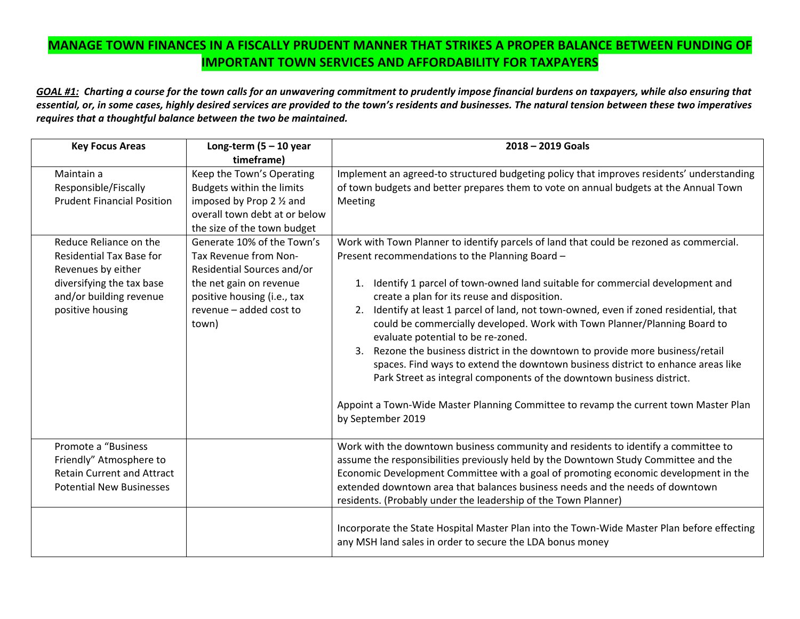## **MANAGE TOWN FINANCES IN A FISCALLY PRUDENT MANNER THAT STRIKES A PROPER BALANCE BETWEEN FUNDING OF IMPORTANT TOWN SERVICES AND AFFORDABILITY FOR TAXPAYERS**

GOAL #1: Charting a course for the town calls for an unwavering commitment to prudently impose financial burdens on taxpayers, while also ensuring that essential, or, in some cases, highly desired services are provided to the town's residents and businesses. The natural tension between these two imperatives *requires that <sup>a</sup> thoughtful balance between the two be maintained.*

| <b>Key Focus Areas</b>            | Long-term $(5 - 10$ year      | $2018 - 2019$ Goals                                                                        |  |
|-----------------------------------|-------------------------------|--------------------------------------------------------------------------------------------|--|
|                                   | timeframe)                    |                                                                                            |  |
| Maintain a                        | Keep the Town's Operating     | Implement an agreed-to structured budgeting policy that improves residents' understanding  |  |
| Responsible/Fiscally              | Budgets within the limits     | of town budgets and better prepares them to vote on annual budgets at the Annual Town      |  |
| <b>Prudent Financial Position</b> | imposed by Prop 2 1/2 and     | Meeting                                                                                    |  |
|                                   | overall town debt at or below |                                                                                            |  |
|                                   | the size of the town budget   |                                                                                            |  |
| Reduce Reliance on the            | Generate 10% of the Town's    | Work with Town Planner to identify parcels of land that could be rezoned as commercial.    |  |
| <b>Residential Tax Base for</b>   | Tax Revenue from Non-         | Present recommendations to the Planning Board -                                            |  |
| Revenues by either                | Residential Sources and/or    |                                                                                            |  |
| diversifying the tax base         | the net gain on revenue       | 1. Identify 1 parcel of town-owned land suitable for commercial development and            |  |
| and/or building revenue           | positive housing (i.e., tax   | create a plan for its reuse and disposition.                                               |  |
| positive housing                  | revenue - added cost to       | Identify at least 1 parcel of land, not town-owned, even if zoned residential, that<br>2.  |  |
|                                   | town)                         | could be commercially developed. Work with Town Planner/Planning Board to                  |  |
|                                   |                               | evaluate potential to be re-zoned.                                                         |  |
|                                   |                               | Rezone the business district in the downtown to provide more business/retail<br>3.         |  |
|                                   |                               | spaces. Find ways to extend the downtown business district to enhance areas like           |  |
|                                   |                               | Park Street as integral components of the downtown business district.                      |  |
|                                   |                               |                                                                                            |  |
|                                   |                               | Appoint a Town-Wide Master Planning Committee to revamp the current town Master Plan       |  |
|                                   |                               | by September 2019                                                                          |  |
|                                   |                               |                                                                                            |  |
| Promote a "Business               |                               | Work with the downtown business community and residents to identify a committee to         |  |
| Friendly" Atmosphere to           |                               | assume the responsibilities previously held by the Downtown Study Committee and the        |  |
| <b>Retain Current and Attract</b> |                               | Economic Development Committee with a goal of promoting economic development in the        |  |
| <b>Potential New Businesses</b>   |                               | extended downtown area that balances business needs and the needs of downtown              |  |
|                                   |                               | residents. (Probably under the leadership of the Town Planner)                             |  |
|                                   |                               |                                                                                            |  |
|                                   |                               | Incorporate the State Hospital Master Plan into the Town-Wide Master Plan before effecting |  |
|                                   |                               | any MSH land sales in order to secure the LDA bonus money                                  |  |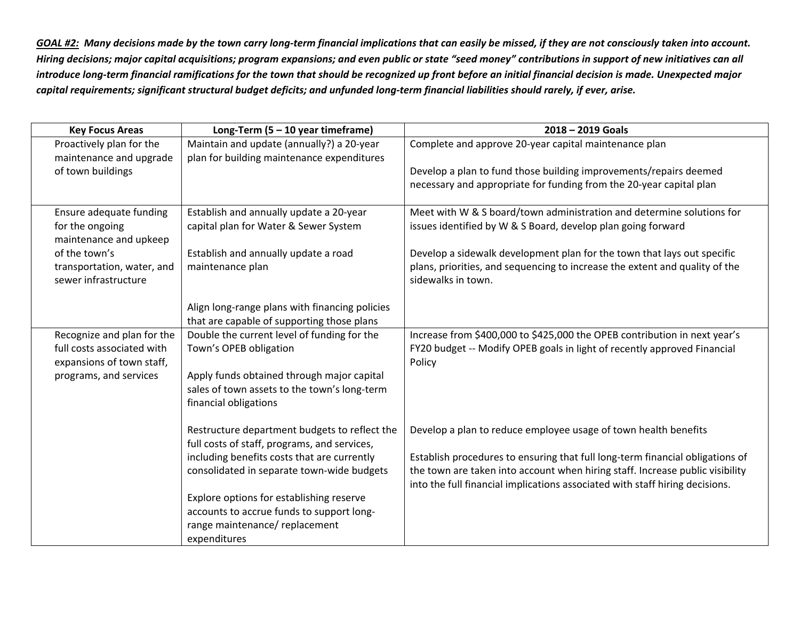<u>GOAL #2:</u> Many decisions made by the town carry long-term financial implications that can easily be missed, if they are not consciously taken into account. Hiring decisions; major capital acquisitions; program expansions; and even public or state "seed money" contributions in support of new initiatives can all introduce long-term financial ramifications for the town that should be recognized up front before an initial financial decision is made. Unexpected major capital requirements; significant structural budget deficits; and unfunded long-term financial liabilities should rarely, if ever, arise.

| <b>Key Focus Areas</b>     | Long-Term $(5 - 10$ year timeframe)            | $2018 - 2019$ Goals                                                           |
|----------------------------|------------------------------------------------|-------------------------------------------------------------------------------|
| Proactively plan for the   | Maintain and update (annually?) a 20-year      | Complete and approve 20-year capital maintenance plan                         |
| maintenance and upgrade    | plan for building maintenance expenditures     |                                                                               |
| of town buildings          |                                                | Develop a plan to fund those building improvements/repairs deemed             |
|                            |                                                | necessary and appropriate for funding from the 20-year capital plan           |
| Ensure adequate funding    | Establish and annually update a 20-year        | Meet with W & S board/town administration and determine solutions for         |
| for the ongoing            | capital plan for Water & Sewer System          | issues identified by W & S Board, develop plan going forward                  |
| maintenance and upkeep     |                                                |                                                                               |
| of the town's              | Establish and annually update a road           | Develop a sidewalk development plan for the town that lays out specific       |
| transportation, water, and | maintenance plan                               | plans, priorities, and sequencing to increase the extent and quality of the   |
| sewer infrastructure       |                                                | sidewalks in town.                                                            |
|                            | Align long-range plans with financing policies |                                                                               |
|                            | that are capable of supporting those plans     |                                                                               |
| Recognize and plan for the | Double the current level of funding for the    | Increase from \$400,000 to \$425,000 the OPEB contribution in next year's     |
| full costs associated with | Town's OPEB obligation                         | FY20 budget -- Modify OPEB goals in light of recently approved Financial      |
| expansions of town staff,  |                                                | Policy                                                                        |
| programs, and services     | Apply funds obtained through major capital     |                                                                               |
|                            | sales of town assets to the town's long-term   |                                                                               |
|                            | financial obligations                          |                                                                               |
|                            | Restructure department budgets to reflect the  | Develop a plan to reduce employee usage of town health benefits               |
|                            | full costs of staff, programs, and services,   |                                                                               |
|                            | including benefits costs that are currently    | Establish procedures to ensuring that full long-term financial obligations of |
|                            | consolidated in separate town-wide budgets     | the town are taken into account when hiring staff. Increase public visibility |
|                            |                                                | into the full financial implications associated with staff hiring decisions.  |
|                            | Explore options for establishing reserve       |                                                                               |
|                            | accounts to accrue funds to support long-      |                                                                               |
|                            | range maintenance/ replacement                 |                                                                               |
|                            | expenditures                                   |                                                                               |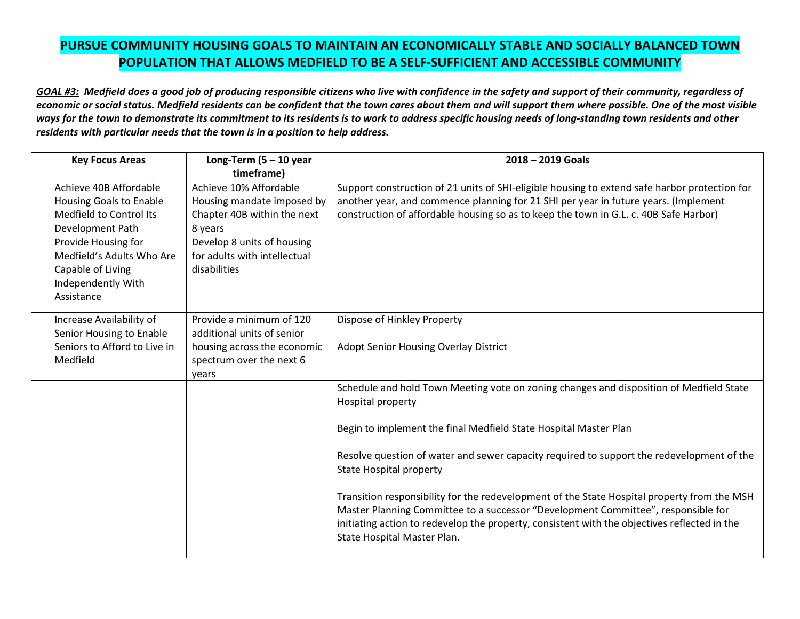## **PURSUE COMMUNITY HOUSING GOALS TO MAINTAIN AN ECONOMICALLY STABLE AND SOCIALLY BALANCED TOWN POPULATION THAT ALLOWS MEDFIELD TO BE A SELF‐SUFFICIENT AND ACCESSIBLE COMMUNITY**

GOAL #3: Medfield does a good job of producing responsible citizens who live with confidence in the safety and support of their community, regardless of economic or social status. Medfield residents can be confident that the town cares about them and will support them where possible. One of the most visible ways for the town to demonstrate its commitment to its residents is to work to address specific housing needs of long-standing town residents and other *residents with particular needs that the town is in <sup>a</sup> position to help address.*

| <b>Key Focus Areas</b>         | Long-Term $(5 - 10$ year     | $2018 - 2019$ Goals                                                                           |
|--------------------------------|------------------------------|-----------------------------------------------------------------------------------------------|
|                                | timeframe)                   |                                                                                               |
| Achieve 40B Affordable         | Achieve 10% Affordable       | Support construction of 21 units of SHI-eligible housing to extend safe harbor protection for |
| <b>Housing Goals to Enable</b> | Housing mandate imposed by   | another year, and commence planning for 21 SHI per year in future years. (Implement           |
| Medfield to Control Its        | Chapter 40B within the next  | construction of affordable housing so as to keep the town in G.L. c. 40B Safe Harbor)         |
| Development Path               | 8 years                      |                                                                                               |
| Provide Housing for            | Develop 8 units of housing   |                                                                                               |
| Medfield's Adults Who Are      | for adults with intellectual |                                                                                               |
| Capable of Living              | disabilities                 |                                                                                               |
| Independently With             |                              |                                                                                               |
| Assistance                     |                              |                                                                                               |
|                                |                              |                                                                                               |
| Increase Availability of       | Provide a minimum of 120     | Dispose of Hinkley Property                                                                   |
| Senior Housing to Enable       | additional units of senior   |                                                                                               |
| Seniors to Afford to Live in   | housing across the economic  | Adopt Senior Housing Overlay District                                                         |
| Medfield                       | spectrum over the next 6     |                                                                                               |
|                                | years                        |                                                                                               |
|                                |                              | Schedule and hold Town Meeting vote on zoning changes and disposition of Medfield State       |
|                                |                              | Hospital property                                                                             |
|                                |                              |                                                                                               |
|                                |                              | Begin to implement the final Medfield State Hospital Master Plan                              |
|                                |                              | Resolve question of water and sewer capacity required to support the redevelopment of the     |
|                                |                              | <b>State Hospital property</b>                                                                |
|                                |                              |                                                                                               |
|                                |                              | Transition responsibility for the redevelopment of the State Hospital property from the MSH   |
|                                |                              | Master Planning Committee to a successor "Development Committee", responsible for             |
|                                |                              | initiating action to redevelop the property, consistent with the objectives reflected in the  |
|                                |                              | State Hospital Master Plan.                                                                   |
|                                |                              |                                                                                               |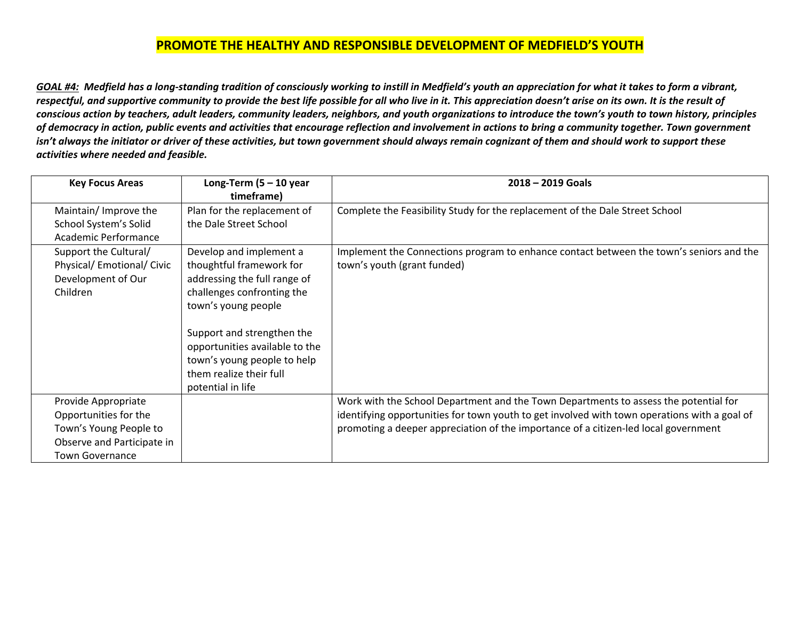## **PROMOTE THE HEALTHY AND RESPONSIBLE DEVELOPMENT OF MEDFIELD'S YOUTH**

<u>GOAL #4:</u> Medfield has a long-standing tradition of consciously working to instill in Medfield's youth an appreciation for what it takes to form a vibrant, respectful, and supportive community to provide the best life possible for all who live in it. This appreciation doesn't arise on its own. It is the result of conscious action by teachers, adult leaders, community leaders, neighbors, and youth organizations to introduce the town's youth to town history, principles of democracy in action, public events and activities that encourage reflection and involvement in actions to bring a community together. Town government isn't always the initiator or driver of these activities, but town government should always remain cognizant of them and should work to support these *activities where needed and feasible.*

| <b>Key Focus Areas</b>     | Long-Term $(5 - 10$ year       | $2018 - 2019$ Goals                                                                          |
|----------------------------|--------------------------------|----------------------------------------------------------------------------------------------|
|                            | timeframe)                     |                                                                                              |
| Maintain/ Improve the      | Plan for the replacement of    | Complete the Feasibility Study for the replacement of the Dale Street School                 |
| School System's Solid      | the Dale Street School         |                                                                                              |
| Academic Performance       |                                |                                                                                              |
| Support the Cultural/      | Develop and implement a        | Implement the Connections program to enhance contact between the town's seniors and the      |
| Physical/ Emotional/ Civic | thoughtful framework for       | town's youth (grant funded)                                                                  |
| Development of Our         | addressing the full range of   |                                                                                              |
| Children                   | challenges confronting the     |                                                                                              |
|                            | town's young people            |                                                                                              |
|                            |                                |                                                                                              |
|                            | Support and strengthen the     |                                                                                              |
|                            | opportunities available to the |                                                                                              |
|                            | town's young people to help    |                                                                                              |
|                            | them realize their full        |                                                                                              |
|                            | potential in life              |                                                                                              |
| Provide Appropriate        |                                | Work with the School Department and the Town Departments to assess the potential for         |
| Opportunities for the      |                                | identifying opportunities for town youth to get involved with town operations with a goal of |
| Town's Young People to     |                                | promoting a deeper appreciation of the importance of a citizen-led local government          |
| Observe and Participate in |                                |                                                                                              |
| <b>Town Governance</b>     |                                |                                                                                              |